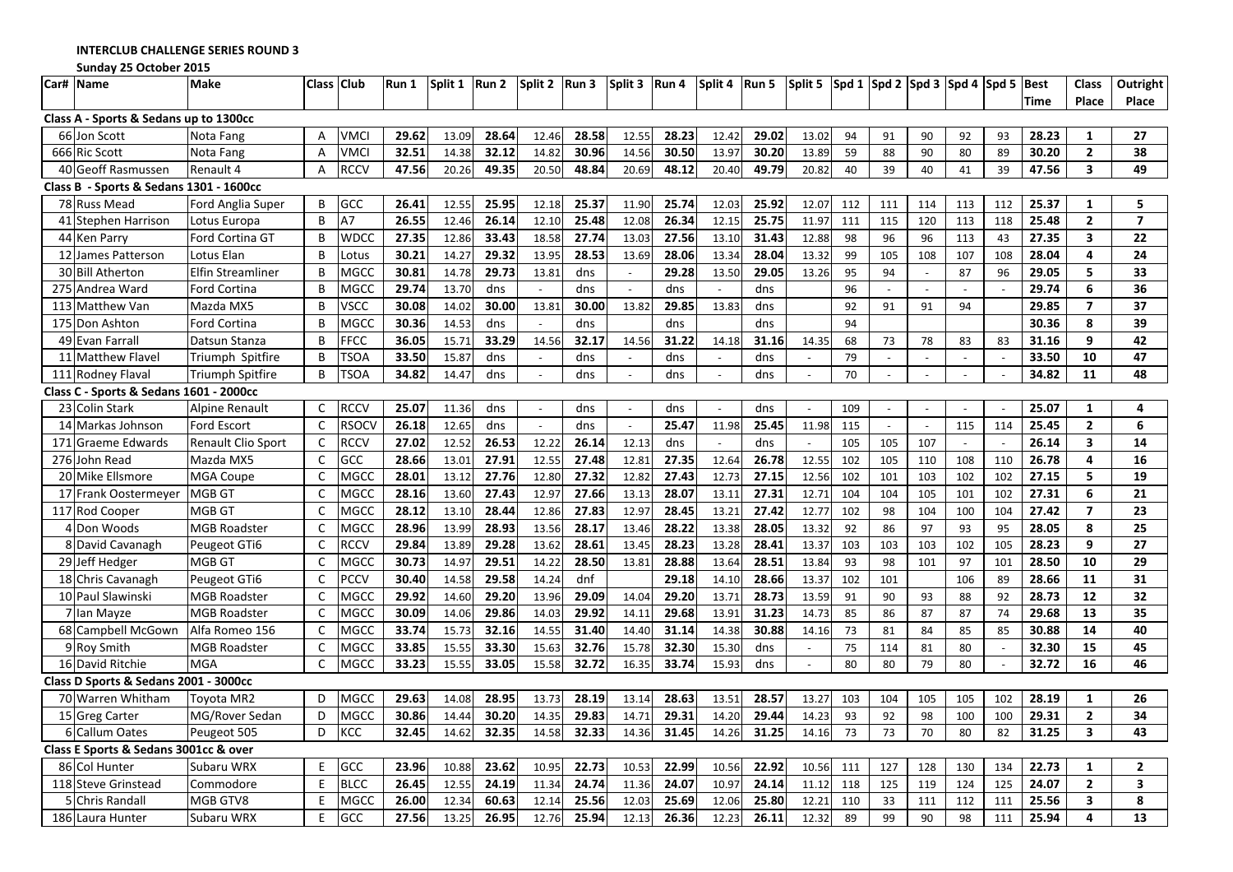INTERCLUB CHALLENGE SERIES ROUND 3

Sunday 25 October 2015

|                                         | Car# Name                               | <b>Make</b>               |              | Class Club   | Run 1 | Split 1 | Run 2 | Split 2                  | Run 3 | Split 3      | Run 4 | Split 4        | Run 5 | Split 5        |     |                | $ $ Spd 1 $ $ Spd 2 $ $ Spd 3 $ $ Spd 4 $ $ Spd 5 |                |     | Best        | <b>Class</b>            | <b>Outright</b> |
|-----------------------------------------|-----------------------------------------|---------------------------|--------------|--------------|-------|---------|-------|--------------------------|-------|--------------|-------|----------------|-------|----------------|-----|----------------|---------------------------------------------------|----------------|-----|-------------|-------------------------|-----------------|
|                                         |                                         |                           |              |              |       |         |       |                          |       |              |       |                |       |                |     |                |                                                   |                |     | <b>Time</b> | Place                   | Place           |
|                                         | Class A - Sports & Sedans up to 1300cc  |                           |              |              |       |         |       |                          |       |              |       |                |       |                |     |                |                                                   |                |     |             |                         |                 |
|                                         | 66 Jon Scott                            | Nota Fang                 | Α            | <b>VMCI</b>  | 29.62 | 13.09   | 28.64 | 12.46                    | 28.58 | 12.55        | 28.23 | 12.42          | 29.02 | 13.02          | 94  | 91             | 90                                                | 92             | 93  | 28.23       | 1                       | 27              |
|                                         | 666 Ric Scott                           | Nota Fang                 | A            | <b>VMCI</b>  | 32.51 | 14.38   | 32.12 | 14.82                    | 30.96 | 14.56        | 30.50 | 13.97          | 30.20 | 13.89          | 59  | 88             | 90                                                | 80             | 89  | 30.20       | $\mathbf{2}$            | 38              |
|                                         | 40 Geoff Rasmussen                      | Renault 4                 | Α            | <b>RCCV</b>  | 47.56 | 20.26   | 49.35 | 20.50                    | 48.84 | 20.69        | 48.12 | 20.40          | 49.79 | 20.82          | 40  | 39             | 40                                                | 41             | 39  | 47.56       | 3                       | 49              |
| Class B - Sports & Sedans 1301 - 1600cc |                                         |                           |              |              |       |         |       |                          |       |              |       |                |       |                |     |                |                                                   |                |     |             |                         |                 |
|                                         | 78 Russ Mead                            | Ford Anglia Super         | B            | GCC          | 26.41 | 12.55   | 25.95 | 12.18                    | 25.37 | 11.90        | 25.74 | 12.03          | 25.92 | 12.07          | 112 | 111            | 114                                               | 113            | 112 | 25.37       | $\mathbf{1}$            | 5               |
|                                         | 41 Stephen Harrison                     | Lotus Europa              | B            | A7           | 26.55 | 12.46   | 26.14 | 12.10                    | 25.48 | 12.08        | 26.34 | 12.15          | 25.75 | 11.97          | 111 | 115            | 120                                               | 113            | 118 | 25.48       | $\overline{2}$          | $\overline{7}$  |
|                                         | 44 Ken Parry                            | Ford Cortina GT           | B            | <b>WDCC</b>  | 27.35 | 12.86   | 33.43 | 18.58                    | 27.74 | 13.03        | 27.56 | 13.10          | 31.43 | 12.88          | 98  | 96             | 96                                                | 113            | 43  | 27.35       | 3                       | 22              |
|                                         | 12 James Patterson                      | Lotus Elan                | B            | Lotus        | 30.21 | 14.27   | 29.32 | 13.95                    | 28.53 | 13.69        | 28.06 | 13.34          | 28.04 | 13.32          | 99  | 105            | 108                                               | 107            | 108 | 28.04       | 4                       | 24              |
|                                         | 30 Bill Atherton                        | Elfin Streamliner         | B            | <b>MGCC</b>  | 30.81 | 14.78   | 29.73 | 13.81                    | dns   | $\sim$       | 29.28 | 13.50          | 29.05 | 13.26          | 95  | 94             | $\sim$                                            | 87             | 96  | 29.05       | 5                       | 33              |
|                                         | 275 Andrea Ward                         | Ford Cortina              | B            | <b>MGCC</b>  | 29.74 | 13.70   | dns   | $\sim$                   | dns   | $\sim$       | dns   | $\sim$         | dns   |                | 96  | $\sim$         |                                                   | $\sim$         |     | 29.74       | 6                       | 36              |
|                                         | 113 Matthew Van                         | Mazda MX5                 | B            | <b>VSCC</b>  | 30.08 | 14.02   | 30.00 | 13.81                    | 30.00 | 13.82        | 29.85 | 13.83          | dns   |                | 92  | 91             | 91                                                | 94             |     | 29.85       | $\overline{ }$          | 37              |
|                                         | 175 Don Ashton                          | Ford Cortina              | B            | <b>MGCC</b>  | 30.36 | 14.53   | dns   | $\overline{\phantom{a}}$ | dns   |              | dns   |                | dns   |                | 94  |                |                                                   |                |     | 30.36       | 8                       | 39              |
|                                         | 49 Evan Farrall                         | Datsun Stanza             | B            | <b>FFCC</b>  | 36.05 | 15.71   | 33.29 | 14.56                    | 32.17 | 14.56        | 31.22 | 14.18          | 31.16 | 14.35          | 68  | 73             | 78                                                | 83             | 83  | 31.16       | 9                       | 42              |
|                                         | 11 Matthew Flavel                       | Triumph Spitfire          | B            | <b>TSOA</b>  | 33.50 | 15.87   | dns   | $\sim$                   | dns   |              | dns   |                | dns   |                | 79  | $\blacksquare$ |                                                   | $\blacksquare$ |     | 33.50       | 10                      | 47              |
|                                         | 111 Rodney Flaval                       | <b>Triumph Spitfire</b>   | B            | <b>TSOA</b>  | 34.82 | 14.47   | dns   | $\sim$                   | dns   | $\sim$       | dns   | $\omega$       | dns   | $\omega$       | 70  | $\equiv$       | $\blacksquare$                                    | $\omega$       |     | 34.82       | 11                      | 48              |
|                                         | Class C - Sports & Sedans 1601 - 2000cc |                           |              |              |       |         |       |                          |       |              |       |                |       |                |     |                |                                                   |                |     |             |                         |                 |
|                                         | 23 Colin Stark                          | Alpine Renault            | $\mathsf{C}$ | <b>RCCV</b>  | 25.07 | 11.36   | dns   | $\sim$                   | dns   | $\sim$       | dns   | $\sim$         | dns   | $\sim$         | 109 | $\sim$         |                                                   | $\sim$         |     | 25.07       | 1                       | 4               |
|                                         | 14 Markas Johnson                       | <b>Ford Escort</b>        | $\mathsf{C}$ | <b>RSOCV</b> | 26.18 | 12.65   | dns   | $\sim$                   | dns   | $\mathbb{L}$ | 25.47 | 11.98          | 25.45 | 11.98          | 115 | $\mathcal{L}$  |                                                   | 115            | 114 | 25.45       | $\mathbf{2}$            | 6               |
| 171                                     | <b>Graeme Edwards</b>                   | <b>Renault Clio Sport</b> | C            | <b>RCCV</b>  | 27.02 | 12.52   | 26.53 | 12.22                    | 26.14 | 12.13        | dns   | $\mathbb{L}^+$ | dns   | $\blacksquare$ | 105 | 105            | 107                                               | $\sim$         |     | 26.14       | 3                       | 14              |
|                                         | 276 John Read                           | Mazda MX5                 | C            | GCC          | 28.66 | 13.01   | 27.91 | 12.55                    | 27.48 | 12.81        | 27.35 | 12.64          | 26.78 | 12.55          | 102 | 105            | 110                                               | 108            | 110 | 26.78       | 4                       | 16              |
|                                         | 20 Mike Ellsmore                        | <b>MGA Coupe</b>          | C            | <b>MGCC</b>  | 28.01 | 13.12   | 27.76 | 12.80                    | 27.32 | 12.82        | 27.43 | 12.73          | 27.15 | 12.56          | 102 | 101            | 103                                               | 102            | 102 | 27.15       | 5                       | 19              |
|                                         | 17 Frank Oostermeyer                    | <b>MGB GT</b>             | C            | <b>MGCC</b>  | 28.16 | 13.60   | 27.43 | 12.97                    | 27.66 | 13.13        | 28.07 | 13.11          | 27.31 | 12.71          | 104 | 104            | 105                                               | 101            | 102 | 27.31       | 6                       | 21              |
|                                         | 117 Rod Cooper                          | MGB GT                    | $\mathsf{C}$ | <b>MGCC</b>  | 28.12 | 13.10   | 28.44 | 12.86                    | 27.83 | 12.97        | 28.45 | 13.21          | 27.42 | 12.77          | 102 | 98             | 104                                               | 100            | 104 | 27.42       | $\overline{7}$          | 23              |
|                                         | 4 Don Woods                             | <b>MGB Roadster</b>       | C            | <b>MGCC</b>  | 28.96 | 13.99   | 28.93 | 13.56                    | 28.17 | 13.46        | 28.22 | 13.38          | 28.05 | 13.32          | 92  | 86             | 97                                                | 93             | 95  | 28.05       | 8                       | 25              |
|                                         | 8 David Cavanagh                        | Peugeot GTi6              | $\mathsf{C}$ | <b>RCCV</b>  | 29.84 | 13.89   | 29.28 | 13.62                    | 28.61 | 13.45        | 28.23 | 13.28          | 28.41 | 13.37          | 103 | 103            | 103                                               | 102            | 105 | 28.23       | 9                       | 27              |
|                                         | 29 Jeff Hedger                          | MGB GT                    | C            | <b>MGCC</b>  | 30.73 | 14.97   | 29.51 | 14.22                    | 28.50 | 13.81        | 28.88 | 13.64          | 28.51 | 13.84          | 93  | 98             | 101                                               | 97             | 101 | 28.50       | 10                      | 29              |
|                                         | 18 Chris Cavanagh                       | Peugeot GTi6              | C            | <b>PCCV</b>  | 30.40 | 14.58   | 29.58 | 14.24                    | dnf   |              | 29.18 | 14.10          | 28.66 | 13.37          | 102 | 101            |                                                   | 106            | 89  | 28.66       | 11                      | 31              |
|                                         | 10 Paul Slawinski                       | <b>MGB Roadster</b>       | C            | <b>MGCC</b>  | 29.92 | 14.60   | 29.20 | 13.96                    | 29.09 | 14.04        | 29.20 | 13.71          | 28.73 | 13.59          | 91  | 90             | 93                                                | 88             | 92  | 28.73       | 12                      | 32              |
|                                         | 7 Ian Mayze                             | <b>MGB Roadster</b>       | $\mathsf{C}$ | <b>MGCC</b>  | 30.09 | 14.06   | 29.86 | 14.03                    | 29.92 | 14.11        | 29.68 | 13.91          | 31.23 | 14.73          | 85  | 86             | 87                                                | 87             | 74  | 29.68       | 13                      | 35              |
|                                         | 68 Campbell McGown                      | Alfa Romeo 156            | C            | <b>MGCC</b>  | 33.74 | 15.73   | 32.16 | 14.55                    | 31.40 | 14.40        | 31.14 | 14.38          | 30.88 | 14.16          | 73  | 81             | 84                                                | 85             | 85  | 30.88       | 14                      | 40              |
|                                         | 9 Roy Smith                             | <b>MGB Roadster</b>       | C            | <b>MGCC</b>  | 33.85 | 15.55   | 33.30 | 15.63                    | 32.76 | 15.78        | 32.30 | 15.30          | dns   |                | 75  | 114            | 81                                                | 80             |     | 32.30       | 15                      | 45              |
|                                         | 16 David Ritchie                        | <b>MGA</b>                | $\mathsf{C}$ | <b>MGCC</b>  | 33.23 | 15.55   | 33.05 | 15.58                    | 32.72 | 16.35        | 33.74 | 15.93          | dns   | $\sim$         | 80  | 80             | 79                                                | 80             |     | 32.72       | 16                      | 46              |
|                                         | Class D Sports & Sedans 2001 - 3000cc   |                           |              |              |       |         |       |                          |       |              |       |                |       |                |     |                |                                                   |                |     |             |                         |                 |
|                                         | 70 Warren Whitham                       | <b>Toyota MR2</b>         | D            | <b>MGCC</b>  | 29.63 | 14.08   | 28.95 | 13.73                    | 28.19 | 13.14        | 28.63 | 13.51          | 28.57 | 13.27          | 103 | 104            | 105                                               | 105            | 102 | 28.19       | $\mathbf{1}$            | 26              |
|                                         | 15 Greg Carter                          | MG/Rover Sedan            | D            | <b>MGCC</b>  | 30.86 | 14.44   | 30.20 | 14.35                    | 29.83 | 14.71        | 29.31 | 14.20          | 29.44 | 14.23          | 93  | 92             | 98                                                | 100            | 100 | 29.31       | $\mathbf{2}$            | 34              |
|                                         | 6 Callum Oates                          | Peugeot 505               | D            | KCC          | 32.45 | 14.62   | 32.35 | 14.58                    | 32.33 | 14.36        | 31.45 | 14.26          | 31.25 | 14.16          | 73  | 73             | 70                                                | 80             | 82  | 31.25       | 3                       | 43              |
|                                         | Class E Sports & Sedans 3001cc & over   |                           |              |              |       |         |       |                          |       |              |       |                |       |                |     |                |                                                   |                |     |             |                         |                 |
|                                         | 86 Col Hunter                           | Subaru WRX                | F            | GCC          | 23.96 | 10.88   | 23.62 | 10.95                    | 22.73 | 10.53        | 22.99 | 10.56          | 22.92 | 10.56          | 111 | 127            | 128                                               | 130            | 134 | 22.73       | $\mathbf{1}$            | $\overline{2}$  |
|                                         | 118 Steve Grinstead                     | Commodore                 | F            | <b>BLCC</b>  | 26.45 | 12.55   | 24.19 | 11.34                    | 24.74 | 11.36        | 24.07 | 10.97          | 24.14 | 11.12          | 118 | 125            | 119                                               | 124            | 125 | 24.07       | $\overline{2}$          | 3               |
|                                         | 5 Chris Randall                         | MGB GTV8                  | F            | <b>MGCC</b>  | 26.00 | 12.34   | 60.63 | 12.14                    | 25.56 | 12.03        | 25.69 | 12.06          | 25.80 | 12.21          | 110 | 33             | 111                                               | 112            | 111 | 25.56       | $\overline{\mathbf{3}}$ | 8               |
|                                         | 186 Laura Hunter                        | Subaru WRX                | F            | GCC          | 27.56 | 13.25   | 26.95 | 12.76                    | 25.94 | 12.13        | 26.36 | 12.23          | 26.11 | 12.32          | 89  | 99             | 90                                                | 98             | 111 | 25.94       | 4                       | 13              |